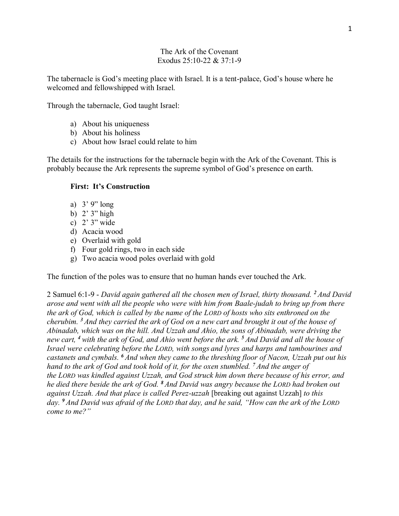## The Ark of the Covenant Exodus 25:10-22 & 37:1-9

The tabernacle is God's meeting place with Israel. It is a tent-palace, God's house where he welcomed and fellowshipped with Israel.

Through the tabernacle, God taught Israel:

- a) About his uniqueness
- b) About his holiness
- c) About how Israel could relate to him

The details for the instructions for the tabernacle begin with the Ark of the Covenant. This is probably because the Ark represents the supreme symbol of God's presence on earth.

# **First: It's Construction**

- a) 3' 9" long
- b) 2' 3" high
- c) 2' 3" wide
- d) Acacia wood
- e) Overlaid with gold
- f) Four gold rings, two in each side
- g) Two acacia wood poles overlaid with gold

The function of the poles was to ensure that no human hands ever touched the Ark.

2 Samuel 6:1-9 - *David again gathered all the chosen men of Israel, thirty thousand. <sup>2</sup> And David arose and went with all the people who were with him from Baale-judah to bring up from there the ark of God, which is called by the name of the LORD of hosts who sits enthroned on the cherubim. <sup>3</sup> And they carried the ark of God on a new cart and brought it out of the house of Abinadab, which was on the hill. And Uzzah and Ahio, the sons of Abinadab, were driving the new cart, <sup>4</sup> with the ark of God, and Ahio went before the ark. <sup>5</sup> And David and all the house of Israel were celebrating before the LORD, with songs and lyres and harps and tambourines and castanets and cymbals. <sup>6</sup> And when they came to the threshing floor of Nacon, Uzzah put out his hand to the ark of God and took hold of it, for the oxen stumbled. <sup>7</sup> And the anger of the LORD was kindled against Uzzah, and God struck him down there because of his error, and he died there beside the ark of God. <sup>8</sup> And David was angry because the LORD had broken out against Uzzah. And that place is called Perez-uzzah* [breaking out against Uzzah] *to this day. <sup>9</sup> And David was afraid of the LORD that day, and he said, "How can the ark of the LORD come to me?"*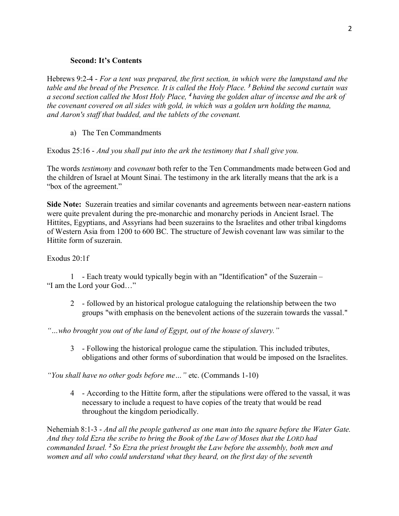### **Second: It's Contents**

Hebrews 9:2-4 - *For a tent was prepared, the first section, in which were the lampstand and the table and the bread of the Presence. It is called the Holy Place. <sup>3</sup> Behind the second curtain was a second section called the Most Holy Place, <sup>4</sup> having the golden altar of incense and the ark of the covenant covered on all sides with gold, in which was a golden urn holding the manna, and Aaron's staff that budded, and the tablets of the covenant.*

## a) The Ten Commandments

Exodus 25:16 - *And you shall put into the ark the testimony that I shall give you.*

The words *testimony* and *covenant* both refer to the Ten Commandments made between God and the children of Israel at Mount Sinai. The testimony in the ark literally means that the ark is a "box of the agreement."

**Side Note:** Suzerain treaties and similar covenants and agreements between near-eastern nations were quite prevalent during the pre-monarchic and monarchy periods in Ancient Israel. The Hittites, Egyptians, and Assyrians had been suzerains to the Israelites and other tribal kingdoms of Western Asia from 1200 to 600 BC. The structure of Jewish covenant law was similar to the Hittite form of suzerain.

### Exodus 20:1f

1 - Each treaty would typically begin with an "Identification" of the Suzerain – "I am the Lord your God…"

- 2 followed by an historical prologue cataloguing the relationship between the two groups "with emphasis on the benevolent actions of the suzerain towards the vassal."
- *"…who brought you out of the land of Egypt, out of the house of slavery."*
	- 3 Following the historical prologue came the stipulation. This included tributes, obligations and other forms of subordination that would be imposed on the Israelites.

*"You shall have no other gods before me…"* etc. (Commands 1-10)

4 - According to the Hittite form, after the stipulations were offered to the vassal, it was necessary to include a request to have copies of the treaty that would be read throughout the kingdom periodically.

Nehemiah 8:1-3 - *And all the people gathered as one man into the square before the Water Gate. And they told Ezra the scribe to bring the Book of the Law of Moses that the LORD had commanded Israel. <sup>2</sup> So Ezra the priest brought the Law before the assembly, both men and women and all who could understand what they heard, on the first day of the seventh*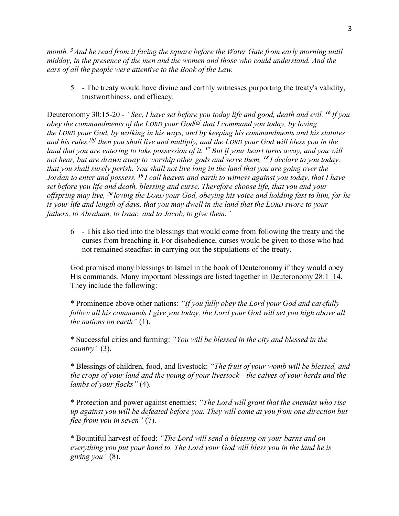*month. <sup>3</sup> And he read from it facing the square before the Water Gate from early morning until midday, in the presence of the men and the women and those who could understand. And the ears of all the people were attentive to the Book of the Law.*

5 - The treaty would have divine and earthly witnesses purporting the treaty's validity, trustworthiness, and efficacy.

Deuteronomy 30:15-20 - *"See, I have set before you today life and good, death and evil. <sup>16</sup> If you obey the commandments of the LORD your God[\[a\]](https://www.biblegateway.com/passage/?search=deuteronomy+30&version=ESV#fen-ESV-5725a) that I command you today, by loving the LORD your God, by walking in his ways, and by keeping his commandments and his statutes and his rules,[\[b\]](https://www.biblegateway.com/passage/?search=deuteronomy+30&version=ESV#fen-ESV-5725b) then you shall live and multiply, and the LORD your God will bless you in the land that you are entering to take possession of it. <sup>17</sup> But if your heart turns away, and you will not hear, but are drawn away to worship other gods and serve them, <sup>18</sup> I declare to you today, that you shall surely perish. You shall not live long in the land that you are going over the Jordan to enter and possess. <sup>19</sup> I call heaven and earth to witness against you today, that I have set before you life and death, blessing and curse. Therefore choose life, that you and your offspring may live, <sup>20</sup> loving the LORD your God, obeying his voice and holding fast to him, for he is your life and length of days, that you may dwell in the land that the LORD swore to your fathers, to Abraham, to Isaac, and to Jacob, to give them."*

6 - This also tied into the blessings that would come from following the treaty and the curses from breaching it. For disobedience, curses would be given to those who had not remained steadfast in carrying out the stipulations of the treaty.

God promised many blessings to Israel in the book of Deuteronomy if they would obey His commands. Many important blessings are listed together in Deuteronomy 28:1–14. They include the following:

\* Prominence above other nations: *"If you fully obey the Lord your God and carefully follow all his commands I give you today, the Lord your God will set you high above all the nations on earth"* (1).

\* Successful cities and farming: *"You will be blessed in the city and blessed in the country"* (3).

\* Blessings of children, food, and livestock: *"The fruit of your womb will be blessed, and the crops of your land and the young of your livestock—the calves of your herds and the lambs of your flocks"* (4).

\* Protection and power against enemies: *"The Lord will grant that the enemies who rise up against you will be defeated before you. They will come at you from one direction but flee from you in seven"* (7).

\* Bountiful harvest of food: *"The Lord will send a blessing on your barns and on everything you put your hand to. The Lord your God will bless you in the land he is giving you"* (8).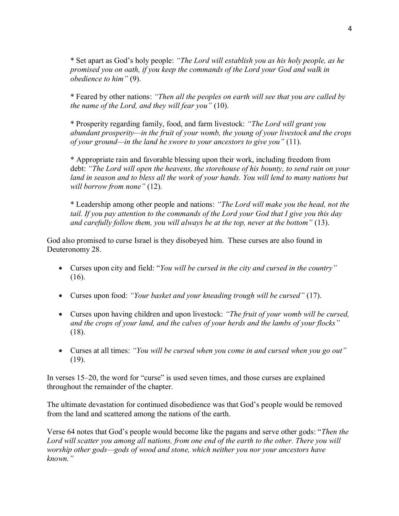\* Set apart as God's holy people: *"The Lord will establish you as his holy people, as he promised you on oath, if you keep the commands of the Lord your God and walk in obedience to him"* (9).

\* Feared by other nations: *"Then all the peoples on earth will see that you are called by the name of the Lord, and they will fear you"* (10).

\* Prosperity regarding family, food, and farm livestock: *"The Lord will grant you abundant prosperity—in the fruit of your womb, the young of your livestock and the crops of your ground—in the land he swore to your ancestors to give you"* (11).

\* Appropriate rain and favorable blessing upon their work, including freedom from debt: *"The Lord will open the heavens, the storehouse of his bounty, to send rain on your*  land in season and to bless all the work of your hands. You will lend to many nations but *will borrow from none"* (12).

\* Leadership among other people and nations: *"The Lord will make you the head, not the tail. If you pay attention to the commands of the Lord your God that I give you this day and carefully follow them, you will always be at the top, never at the bottom"* (13).

God also promised to curse Israel is they disobeyed him. These curses are also found in Deuteronomy 28.

- Curses upon city and field: "*You will be cursed in the city and cursed in the country"* (16).
- Curses upon food: *"Your basket and your kneading trough will be cursed"* (17).
- Curses upon having children and upon livestock: *"The fruit of your womb will be cursed, and the crops of your land, and the calves of your herds and the lambs of your flocks"* (18).
- Curses at all times: *"You will be cursed when you come in and cursed when you go out"*  (19).

In verses 15–20, the word for "curse" is used seven times, and those curses are explained throughout the remainder of the chapter.

The ultimate devastation for continued disobedience was that God's people would be removed from the land and scattered among the nations of the earth.

Verse 64 notes that God's people would become like the pagans and serve other gods: "*Then the Lord will scatter you among all nations, from one end of the earth to the other. There you will worship other gods—gods of wood and stone, which neither you nor your ancestors have known."*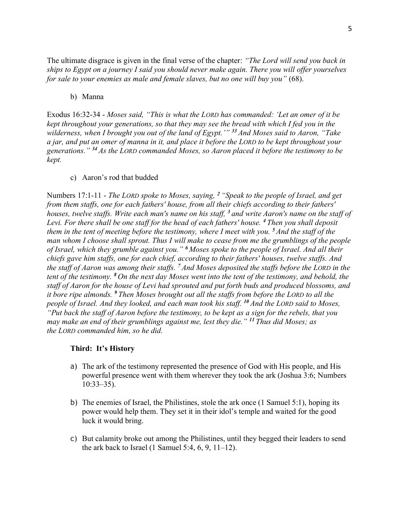The ultimate disgrace is given in the final verse of the chapter: *"The Lord will send you back in ships to Egypt on a journey I said you should never make again. There you will offer yourselves for sale to your enemies as male and female slaves, but no one will buy you"* (68).

b) Manna

Exodus 16:32-34 - *Moses said, "This is what the LORD has commanded: 'Let an omer of it be kept throughout your generations, so that they may see the bread with which I fed you in the wilderness, when I brought you out of the land of Egypt.'" <sup>33</sup> And Moses said to Aaron, "Take a jar, and put an omer of manna in it, and place it before the LORD to be kept throughout your generations." <sup>34</sup> As the LORD commanded Moses, so Aaron placed it before the testimony to be kept.*

### c) Aaron's rod that budded

Numbers 17:1-11 - *The LORD spoke to Moses, saying, <sup>2</sup> "Speak to the people of Israel, and get from them staffs, one for each fathers' house, from all their chiefs according to their fathers' houses, twelve staffs. Write each man's name on his staff, <sup>3</sup> and write Aaron's name on the staff of Levi. For there shall be one staff for the head of each fathers' house. <sup>4</sup> Then you shall deposit them in the tent of meeting before the testimony, where I meet with you. <sup>5</sup> And the staff of the man whom I choose shall sprout. Thus I will make to cease from me the grumblings of the people of Israel, which they grumble against you." <sup>6</sup> Moses spoke to the people of Israel. And all their chiefs gave him staffs, one for each chief, according to their fathers' houses, twelve staffs. And the staff of Aaron was among their staffs. <sup>7</sup> And Moses deposited the staffs before the LORD in the tent of the testimony. <sup>8</sup> On the next day Moses went into the tent of the testimony, and behold, the staff of Aaron for the house of Levi had sprouted and put forth buds and produced blossoms, and it bore ripe almonds. <sup>9</sup> Then Moses brought out all the staffs from before the LORD to all the people of Israel. And they looked, and each man took his staff. <sup>10</sup> And the LORD said to Moses, "Put back the staff of Aaron before the testimony, to be kept as a sign for the rebels, that you may make an end of their grumblings against me, lest they die." <sup>11</sup> Thus did Moses; as the LORD commanded him, so he did.*

### **Third: It's History**

- a) The ark of the testimony represented the presence of God with His people, and His powerful presence went with them wherever they took the ark (Joshua 3:6; Numbers 10:33–35).
- b) The enemies of Israel, the Philistines, stole the ark once (1 Samuel 5:1), hoping its power would help them. They set it in their idol's temple and waited for the good luck it would bring.
- c) But calamity broke out among the Philistines, until they begged their leaders to send the ark back to Israel (1 Samuel 5:4, [6,](https://biblia.com/bible/esv/1%20Samuel%205.6) [9,](https://biblia.com/bible/esv/1%20Samuel%205.9) 11–12).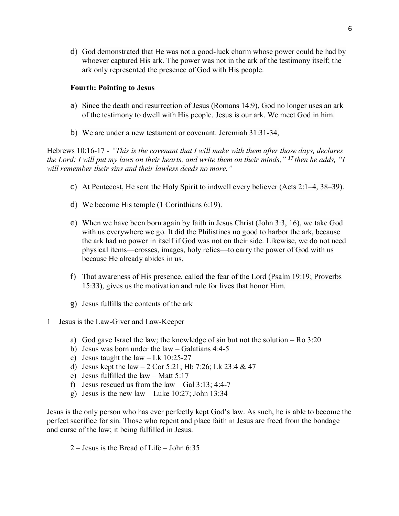d) God demonstrated that He was not a good-luck charm whose power could be had by whoever captured His ark. The power was not in the ark of the testimony itself; the ark only represented the presence of God with His people.

# **Fourth: Pointing to Jesus**

- a) Since the death and resurrection of Jesus (Romans 14:9), God no longer uses an ark of the testimony to dwell with His people. Jesus is our ark. We meet God in him.
- b) We are under a new testament or covenant. Jeremiah 31:31-34,

Hebrews 10:16-17 - *"This is the covenant that I will make with them after those days, declares the Lord: I will put my laws on their hearts, and write them on their minds," <sup>17</sup> then he adds, "I will remember their sins and their lawless deeds no more."*

- c) At Pentecost, He sent the Holy Spirit to indwell every believer (Acts 2:1–4, 38–39).
- d) We become His temple (1 Corinthians 6:19).
- e) When we have been born again by faith in Jesus Christ (John 3:3, 16), we take God with us everywhere we go. It did the Philistines no good to harbor the ark, because the ark had no power in itself if God was not on their side. Likewise, we do not need physical items—crosses, images, holy relics—to carry the power of God with us because He already abides in us.
- f) That awareness of His presence, called the fear of the Lord (Psalm 19:19; Proverbs 15:33), gives us the motivation and rule for lives that honor Him.
- g) Jesus fulfills the contents of the ark

1 – Jesus is the Law-Giver and Law-Keeper –

- a) God gave Israel the law; the knowledge of sin but not the solution Ro  $3:20$
- b) Jesus was born under the law Galatians 4:4-5
- c) Jesus taught the law  $-$  Lk 10:25-27
- d) Jesus kept the law  $-2$  Cor 5:21; Hb 7:26; Lk 23:4 & 47
- e) Jesus fulfilled the law Matt 5:17
- f) Jesus rescued us from the  $law Gal\ 3:13$ ; 4:4-7
- g) Jesus is the new law Luke  $10:27$ ; John  $13:34$

Jesus is the only person who has ever perfectly kept God's law. As such, he is able to become the perfect sacrifice for sin. Those who repent and place faith in Jesus are freed from the bondage and curse of the law; it being fulfilled in Jesus.

2 – Jesus is the Bread of Life – John 6:35